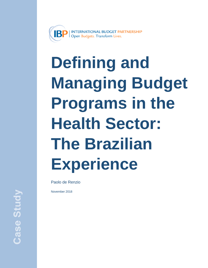

# **Defining and Managing Budget Programs in the Health Sector: The Brazilian Experience**

Paolo de Renzio

November 2018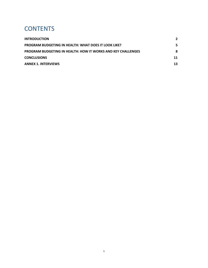## **CONTENTS**

| <b>INTRODUCTION</b>                                                 | 2  |
|---------------------------------------------------------------------|----|
| <b>PROGRAM BUDGETING IN HEALTH: WHAT DOES IT LOOK LIKE?</b>         | 5. |
| <b>PROGRAM BUDGETING IN HEALTH: HOW IT WORKS AND KEY CHALLENGES</b> | 8  |
| <b>CONCLUSIONS</b>                                                  | 11 |
| <b>ANNEX 1. INTERVIEWS</b>                                          | 13 |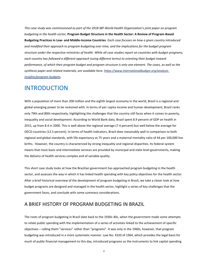*This case study was commissioned as part of the 2018 IBP-World Health Organization's joint paper on program budgeting in the health sector,* **Program Budget Structure in the Health Sector: A Review of Program-Based Budgeting Practices in Low- and Middle-Income Countries**. *Each case focuses on how a given country introduced and modified their approach to program budgeting over time, and the implications for the budget program structure under the respective ministries of health. While all case studies report on countries with budget programs, each country has followed a different approach (using different terms) to orienting their budget toward performance, of which their program budget and program structure is only one element. The cases, as well as the synthesis paper and related materials, are available here[: https://www.internationalbudget.org/analysis](https://www.internationalbudget.org/analysis-insights/program-budgets)[insights/program-budgets.](https://www.internationalbudget.org/analysis-insights/program-budgets)* 

## <span id="page-2-0"></span>INTRODUCTION

With a population of more than 200 million and the eighth largest economy in the world, Brazil is a regional and global emerging power to be reckoned with. In terms of per capita income and human development, Brazil ranks only 79th and 80th respectively, highlighting the challenges that the country still faces when it comes to poverty, inequality and social development. According to World Bank data, Brazil spent 8.9 percent of GDP on health in 2015, up from 8.4 in 2000. This is well above the regional average (7.4 percent) but well below the average for OECD countries (12.5 percent). In terms of health indicators, Brazil does reasonably well in comparison to both regional and global standards, with life expectancy at 75 years and a maternal mortality ratio of 44 per 100,000 live births. However, the country is characterized by strong inequality and regional disparities. Its federal system means that most basic and intermediate services are provided by municipal and state level governments, making the delivery of health services complex and of variable quality.

This short case study looks at how the Brazilian government has approached program budgeting in the health sector, and assesses the way in which it has linked health spending with key policy objectives for the health sector. After a brief historical overview of the development of program budgeting in Brazil, we take a closer look at how budget programs are designed and managed in the health sector, highlight a series of key challenges that the government faces, and conclude with some summary considerations.

#### A BRIEF HISTORY OF PROGRAM BUDGETING IN BRAZIL

The roots of program budgeting in Brazil date back to the 1930s-40s, when the government made some attempts to relate public spending with the implementation of a series of activities linked to the achievement of specific objectives – calling them "services" rather than "programs". It was only in the 1960s, however, that program budgeting was introduced in a more systematic manner. Law No. 4320 of 1964, which provides the legal basis for much of public financial management to this day, introduced programs as the instruments to link capital spending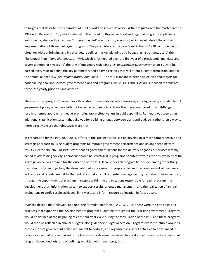to targets that describe the realization of public works or service delivery. Further regulation of the matter came in 1967 with Decree No. 200, which ushered in the use of multi-year sectoral and regional programs as planning instruments, along with an annual "program budget" (*orçamento-programa*) which would detail the annual implementation of those multi-year programs. The parameters of the new Constitution of 1988 continued in this direction without bringing any big changes. It defines the key planning and budgeting instruments as: (a) the Pluriannual Plan (*Plano plurianual*, or PPA), which is formulated over the first year of a presidential mandate and covers a period of 4 years; (b) the Law of Budgetary Guidelines (*Lei de Diretrizes Orçamentárias*, or LDO) to be passed every year to define the key parameters and policy directives that will orient budget formulation; and (c) the annual Budget Law (*Lei Orçamentária Anual*, or LOA). The PPA is meant to define objectives and targets for national, regional and sectoral government plans and programs, while LDOs and LOAs are supposed to translate these into yearly priorities and activities.

The use of the "program" terminology throughout these early decades, however, although clearly intended to link government policy objectives with the key activities meant to achieve them, was not based on a full-fledged results-oriented approach aimed at promoting more effectiveness in public spending. Rather, it was seen as an additional classification system that allowed for building bridges between plans and budgets, rather than a way to more directly ensure that objectives were met.

In preparation for the PPA 2000-2003, efforts in the late 1990s focused on developing a more comprehensive and strategic approach to using budget programs to improve government performance and linking spending with results. Decree No. 2829 of 1998 states that all government actions for the delivery of goods or services directly aimed at addressing society's demands should be structured in programs oriented towards the achievement of the strategic objectives defined for the duration of the PPA. It calls for each program to include, among other things, the definition of an objective, the designation of an organization responsible, and the complement of deadlines, indicators and targets. And, it further indicates that a results-oriented management system should be introduced, through the appointment of program managers within the organizations responsible for each program, the development of an information system to support results-oriented management, and the realization of annual evaluations to verify results achieved, limit waste and inform resource allocation in future years.

Over the decade that followed, and until the formulation of the PPA 2012-2015, these were the principles and practices that supported the development of program budgeting throughout the Brazilian government. Programs would be defined at the beginning of each four-year cycle during the formulation of the PPA, and these programs would then be reflected in annual budgets, alongside their budget allocation. Programs were structured around a "problem" that government action was meant to address, and organized as a set of activities to be financed in order to solve that problem. A set of tools and methods were developed to assist ministries in the formulation of program-based budgets, and of defining activities within each program.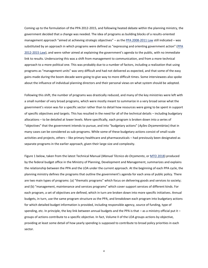Coming up to the formulation of the PPA 2012-2015, and following heated debate within the planning ministry, the government decided that a change was needed. The idea of programs as building blocks of a results-oriented management approach "aimed at achieving strategic objectives" – as th[e PPA 2008-2011 Law](http://www.planejamento.gov.br/secretarias/upload/arquivo/spi-1/ppa-1/2008/081015_ppa_2008_lei.pdf) still indicated – was substituted by an approach in which programs were defined as "expressing and orienting government action" ([PPA](http://www.planejamento.gov.br/secretarias/upload/arquivo/spi-1/ppa-1/2012/projeto_de_lei.pdf)  [2012-2015 Law](http://www.planejamento.gov.br/secretarias/upload/arquivo/spi-1/ppa-1/2012/projeto_de_lei.pdf)), and were rather aimed at explaining the government's agenda to the public, with no immediate link to results. Underscoring this was a shift from management to communication, and from a more technical approach to a more political one. This was probably due to a number of factors, including a realization that using programs as "management units" was very difficult and had not delivered as expected, and that some of the easy gains made during the boom decade were going to give way to more difficult times. Some interviewees also spoke about the influence of individual planning directors and their personal views on what system should be adopted.

Following this shift, the number of programs was drastically reduced, and many of the key ministries were left with a small number of very broad programs, which were mostly meant to summarize in a very broad sense what the government's vision was for a specific sector rather than to detail how resources were going to be spent in support of specific objectives and targets. This has resulted in the need for all of the technical details – including budgetary allocations – to be detailed at lower levels. More specifically, each program is broken down into a series of "objectives" that the government intends to pursue, and into "budgetary actions" (*Ações Orçamentárias*) that in many cases can be considered as sub-programs. While some of these budgetary actions consist of small-scale activities and projects, others – like primary healthcare and pharmaceuticals – had previously been designated as separate programs in the earlier approach, given their large size and complexity.

Figure 1 below, taken from the latest Technical Manual (*Manual Técnico do Orçamento*, o[r MTO 2018\)](https://www1.siop.planejamento.gov.br/siopdoc/lib/exe/fetch.php/mto:pdf:170620_mto_atual_versao-2.pdf) produced by the federal budget office in the Ministry of Planning, Development and Management, summarizes and explains the relationship between the PPA and the LOA under the current approach. At the beginning of each PPA cycle, the planning ministry defines the programs that outline the government's agenda for each area of public policy. There are two main types of programs: (a) "thematic programs" which focus on delivering goods and services to society; and (b) "management, maintenance and services programs" which cover support services of different kinds. For each program, a set of objectives are defined, which in turn are broken down into more specific initiatives. Annual budgets, in turn, use the same program structure as the PPA, and breakdown each program into budgetary actions for which detailed budget information is provided, including responsible agency, source of funding, type of spending, etc. In principle, the key link between annual budgets and the PPA is that  $-$  as a ministry official put it  $$ groups of actions contribute to a specific objective. In fact, Volume II of the LOA groups actions by objective, providing at least some detail of how yearly spending is supposed to contribute to broad policy priorities in each sector.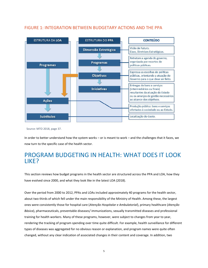

#### FIGURE 1: INTEGRATION BETWEEN BUDGETARY ACTIONS AND THE PPA

Source: MTO 2018, page 37.

In order to better understand how the system works – or is meant to work – and the challenges that it faces, we now turn to the specific case of the health sector.

## <span id="page-5-0"></span>PROGRAM BUDGETING IN HEALTH: WHAT DOES IT LOOK LIKE?

This section reviews how budget programs in the health sector are structured across the PPA and LOA, how they have evolved since 2000, and what they look like in the latest LOA (2018).

Over the period from 2000 to 2012, PPAs and LOAs included approximately 40 programs for the health sector, about two thirds of which fell under the main responsibility of the Ministry of Health. Among these, the largest ones were consistently those for hospital care (*Atenção Hospitalar e Ambulatorial*), primary healthcare (*Atenção Básica*), pharmaceuticals, preventable diseases/ immunizations, sexually transmitted diseases and professional training for health workers. Many of these programs, however, were subject to changes from year to year, rendering the tracking of program spending over time quite difficult. For example, health surveillance for different types of diseases was aggregated for no obvious reason or explanation, and program names were quite often changed, without any clear indication of associated changes in their content and coverage. In addition, two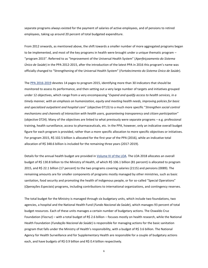separate programs always existed for the payment of salaries of active employees, and of pensions to retired employees, taking up around 20 percent of total budgeted expenditure.

From 2012 onwards, as mentioned above, the shift towards a smaller number of more aggregated programs began to be implemented, and most of the key programs in health were brought under a unique thematic program – "program 2015". Referred to as "Improvement of the Universal Health System" (*Aperfeiçoamento do Sistema Único de Saúde*) in the PPA 2012-2015, after the introduction of the latest PPA in 2016 this program's name was officially changed to "Strengthening of the Universal Health System" (*Fortalecimento do Sistema Único de Saúde*).

Th[e PPA 2016-2019](http://www.planejamento.gov.br/secretarias/upload/arquivo/spi-1/ppa-2016-2019/anexo_i_atualizado_com_a_loa_2016.pdf) devotes 14 pages to program 2015, identifying more than 30 indicators that should be monitored to assess its performance, and then setting out a very large number of targets and initiatives grouped under 12 objectives, which range from a very encompassing "*Expand and qualify access to health services, in a timely manner, with an emphasis on humanization, equity and meeting health needs, improving policies for basic and specialized outpatient and hospital care*" (objective 0713) to a much more specific "*Strengthen social control mechanisms and channels of interaction with health users, guaranteeing transparency and citizen participation*" (objective 0724). Many of the objectives are linked to what previously were separate programs – e.g. professional training, health surveillance, access to pharmaceuticals, etc. In the PPA, however, only an indicative overall budget figure for each program is provided, rather than a more specific allocation to more specific objectives or initiatives. For program 2015, R\$ 102.5 billion is allocated for the first year of the PPA (2016), while an indicative total allocation of R\$ 348.6 billion is included for the remaining three years (2017-2019).

Details for the annual health budget are provided in [Volume IV of the LOA.](http://www.planejamento.gov.br/assuntos/orcamento-1/orcamentos-anuais/2018/loa-2018/volume_iv.pdf) The LOA 2018 allocates an overall budget of R\$ 130.8 billion to the Ministry of Health, of which R\$ 106.1 billion (81 percent) is allocated to program 2015, and R\$ 22.1 billion (17 percent) to the two programs covering salaries (2115) and pensions (0089). The remaining amounts are for smaller components of programs mostly managed by other ministries, such as basic sanitation, food security and promoting the health of indigenous people, or for so-called "Special Operations" (*Operações Especiais*) programs, including contributions to international organizations, and contingency reserves.

The total budget for the Ministry is managed through six budgetary units, which include two foundations, two agencies, a hospital and the National Health Fund (*Fundo Nacional da Saúde*), which manages 93 percent of total budget resources. Each of these units manages a certain number of budgetary actions. The Oswaldo Cruz Foundation (*Fiocruz*) – with a total budget of R\$ 2.6 billion – focuses mostly on health research, while the National Health Foundation (*Fundação Nacional da Saúde*) is responsible for managing actions for the basic sanitation program that falls under the Ministry of Health's responsibility, with a budget of R\$ 3.6 billion. The National Agency for Health Surveillance and for Supplementary Health are responsible for a couple of budgetary actions each, and have budgets of R\$ 0.9 billion and R\$ 0.4 billion respectively.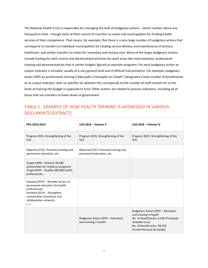The National Health Fund is responsible for managing the bulk of budgetary actions – which number about one thousand in total – though most of them consist of transfers to states and municipalities for funding health services of their competence. That means, for example, that there is a very large number of budgetary actions that correspond to transfers to individual municipalities for funding service delivery and maintenance of primary healthcare, and similar transfers to states for secondary and tertiary care. Many of the larger budgetary actions include funding for both central and decentralized activities for work areas like immunizations, professional training and pharmaceuticals that in earlier budgets figured as separate programs. For each budgetary action an output indicator is included, usually of a very general kind and of difficult interpretation. For example, budgetary action 20YD on professional training ("*Educação e Formação em Saúde*") designates a total number of beneficiaries as its output indicator, with no specifics on whether this corresponds to the number of staff trained nor to the kinds of training the budget is supposed to fund. Other actions are related to process indicators, including all of those that are transfers to lower levels of government.

#### TABLE 1. EXAMPLE OF HOW HEALTH TRAINING IS ADDRESSED IN VARIOUS DOCUMENTS (EXTRACT)

| PPA 2016-2019                                                                                                                                                                                       | LOA 2018 - Volume II                                              | LOA 2018 - Volume IV                                                                                                                                                               |
|-----------------------------------------------------------------------------------------------------------------------------------------------------------------------------------------------------|-------------------------------------------------------------------|------------------------------------------------------------------------------------------------------------------------------------------------------------------------------------|
| Program 2015: Strengthening of the<br><b>SUS</b>                                                                                                                                                    | Program 2015: Strengthening of the<br><b>SUS</b>                  | Program 2015: Strengthening of the<br><b>SUS</b>                                                                                                                                   |
| Objective 0721: Promote training and<br>permanent education, etc.                                                                                                                                   | Objective 0721: Promote training and<br>permanent education, etc. |                                                                                                                                                                                    |
| Target 029N - Achieve 38,500<br>scholarships for residency programs<br>Target 04HF - Qualify 380,000 health<br>professionals                                                                        |                                                                   |                                                                                                                                                                                    |
| Initiative 05TO - Broaden access to<br>permanent education for health<br>professionals<br>Initiative 05UH - Strengthen<br>communities of practice and<br>collaborative networks<br>$\lceil  \rceil$ |                                                                   |                                                                                                                                                                                    |
|                                                                                                                                                                                                     | Budgetary Action 20YD - Education<br>and training in health       | Budgetary Action 20YD - Education<br>and training in health<br>No. of beneficiaries: 6,440 (Fundação<br>Oswaldo Cruz)<br>No. of beneficiaries: 58,910<br>(Fundo Nacional de Saúde) |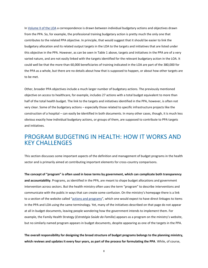In [Volume II of the LOA](http://www.planejamento.gov.br/assuntos/orcamento-1/orcamentos-anuais/2018/loa-2018/volume_ii.pdf) a correspondence is drawn between individual budgetary actions and objectives drawn from the PPA. So, for example, the professional training budgetary action is pretty much the only one that contributes to the related PPA objective. In principle, that would suggest that it should be easier to link the budgetary allocation and its related output targets in the LOA to the targets and initiatives that are listed under this objective in the PPA. However, as can be seen in Table 1 above, targets and initiatives in the PPA are of a very varied nature, and are not easily linked with the targets identified for the relevant budgetary action in the LOA. It could well be that the more than 60,000 beneficiaries of training indicated in the LOA are part of the 380,000 for the PPA as a whole, but there are no details about how that is supposed to happen, or about how other targets are to be met.

Other, broader PPA objectives include a much larger number of budgetary actions. The previously mentioned objective on access to healthcare, for example, includes 27 actions with a total budget equivalent to more than half of the total health budget. The link to the targets and initiatives identified in the PPA, however, is often not very clear. Some of the budgetary actions – especially those related to specific infrastructure projects like the construction of a hospital – can easily be identified in both documents. In many other cases, though, it is much less obvious exactly how individual budgetary actions, or groups of them, are supposed to contribute to PPA targets and initiatives.

## <span id="page-8-0"></span>PROGRAM BUDGETING IN HEALTH: HOW IT WORKS AND KEY CHALLENGES

This section discusses some important aspects of the definition and management of budget programs in the health sector and is primarily aimed at contributing important elements for cross-country comparisons.

**The concept of "program" is often used in loose terms by government, which can complicate both transparency and accountability**. Programs, as identified in the PPA, are meant to shape budget allocations and government intervention across sectors. But the health ministry often uses the term "program" to describe interventions and communicate with the public in ways that can create some confusion. On the ministry's homepage there is a link to a section of the website called "[actions and programs](http://portalms.saude.gov.br/acoes-e-programas)", which one would expect to have direct linkages to items in the PPA and LOA using the same terminology. Yet, many of the initiatives described on that page do not appear at all in budget documents, leaving people wondering how the government intends to implement them. For example, the Family Health Strategy (*Estratégia Saúde da Família*) appears as a program on the ministry's website, but no similarly named program appears in budget documents, despite appearing as one of the targets in the PPA.

**The overall responsibility for designing the broad structure of budget programs belongs to the planning ministry, which reviews and updates it every four years, as part of the process for formulating the PPA**. While, of course,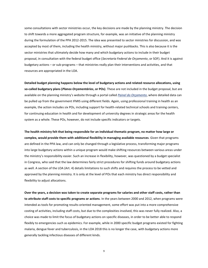some consultations with sector ministries occur, the key decisions are made by the planning ministry. The decision to shift towards a more aggregated program structure, for example, was an initiative of the planning ministry during the formulation of the PPA 2012-2015. The idea was presented to sector ministries for discussion, and was accepted by most of them, including the health ministry, without major pushbacks. This is also because it is the sector ministries that ultimately decide how many and which budgetary actions to include in their budget proposal, in consultation with the federal budget office (*Secretaria Federal de Orçamento*, or SOF). And it is against budgetary actions – or sub-programs – that ministries really plan their interventions and activities, and that resources are appropriated in the LOA.

**Detailed budget planning happens below the level of budgetary actions and related resource allocations, using so-called budgetary plans (***Planos Orçamentários***, or POs)**. These are not included in the budget proposal, but are available on the planning ministry's website through a portal called *[Painel do Orçamento](https://www1.siop.planejamento.gov.br/painelacessopublico)*, where detailed data can be pulled up from the government IFMIS using different fields. Again, using professional training in health as an example, the action includes six POs, including support for health-related technical schools and training centers, for continuing education in health and for development of university degrees in strategic areas for the health system as a whole. These POs, however, do not include specific indicators or targets.

**The health ministry felt that being responsible for an individual thematic program, no matter how large or complex, would provide them with additional flexibility in managing available resources**. Given that programs are defined in the PPA law, and can only be changed through a legislative process, transforming major programs into large budgetary actions within a unique program would make shifting resources between various areas under the ministry's responsibility easier. Such an increase in flexibility, however, was questioned by a budget specialist in Congress, who said that the law determines fairly strict procedures for shifting funds around budgetary actions as well. A section of the LOA (Art. 4) details limitations to such shifts and requires the process to be vetted and approved by the planning ministry. It is only at the level of POs that each ministry has direct responsibility and flexibility to adjust allocations.

**Over the years, a decision was taken to create separate programs for salaries and other staff costs, rather than to attribute staff costs to specific programs or actions**. In the years between 2000 and 2012, when programs were intended as tools for promoting results-oriented management, some effort was put into a more comprehensive costing of activities, including staff costs, but due to the complexities involved, this was never fully realized. Also, a choice was made to limit the focus of budgetary actions on specific diseases, in order to be better able to respond flexibly to emergencies such as epidemics. For example, while in 2000 specific budget programs existed for fighting malaria, dengue fever and tuberculosis, in the LOA 2018 this is no longer the case, with budgetary actions more generally tackling infectious diseases of different kinds.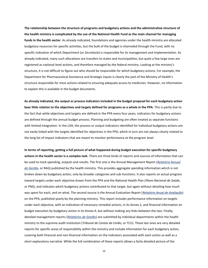**The relationship between the structure of programs and budgetary actions and the administrative structure of the health ministry is complicated by the use of the National Health Fund as the main channel for managing funds in the health sector**. As already indicated, foundations and agencies under the health ministry are allocated budgetary resources for specific activities, but the bulk of the budget is channeled through the Fund, with no specific indication of which Department (or *Secretaria*) is responsible for its management and implementation. As already indicated, many such allocations are transfers to states and municipalities, but quite a few large ones are registered as national-level actions, and therefore managed by the federal ministry. Looking at the ministry's structure, it is not difficult to figure out who should be responsible for which budgetary actions. For example, the Department for Pharmaceutical Assistance and Strategic Inputs is clearly the part of the Ministry of Health's structure responsible for most actions related to ensuring adequate access to medicines. However, no information to explain this is available in the budget documents.

**As already indicated, the output or process indicators included in the budget proposal for each budgetary action bear little relation to the objectives and targets defined for programs as a whole in the PPA**. This is partly due to the fact that while objectives and targets are defined in the PPA every four years, indicators for budgetary actions are defined through the annual budget process. Planning and budgeting are often treated as separate functions with limited integration. In the LOA, the process or output indicators identified for individual budgetary actions are not easily linked with the targets identified for objectives in the PPA, which in turn are not always clearly related to the long list of impact indicators that are meant to monitor performance at the program level.

**In terms of reporting, getting a full picture of what happened during budget execution for specific budgetary actions in the health sector is a complex task**. There are three kinds of reports and sources of information that can be used to track spending, outputs and results. The first one is the Annual Management Report (*[Relatório Annual](http://portalms.saude.gov.br/relatorio-de-gestao)  [de Gestão](http://portalms.saude.gov.br/relatorio-de-gestao)*, or RAG) published by the health ministry. This provides aggregate spending information which is not broken down by budgetary action, only by broader categories and sub-functions. It also reports on actual progress toward targets under each objective drawn from the PPA and the National Health Plan (*Plano Nacional de Saúde*, or PNS), and indicates which budgetary actions contributed to that target, but again without detailing how much was spent for each, and on what. The second source is the Annual Evaluation Report (*[Relatório Anual de Avaliação](http://www.planejamento.gov.br/assuntos/planeja/plano-plurianual)*) on the PPA, published yearly by the planning ministry. This report includes performance information on targets under each objective, with an indication of necessary remedial actions, in its Annex 2, and financial information on budget execution by budgetary action in its Annex 4, but without making any links between the two. Finally, detailed management reports (*[Relatórios de Gestão](http://portal.tcu.gov.br/contas/contas-e-relatorios-de-gestao/contas-do-exercicio-de-2017.htm)*) are submitted by individual departments within the health ministry to the supreme audit institution (*Tribunal de Contas da União*, or TCU). These last ones are very detailed reports for specific areas of responsibility within the ministry and include information for each budgetary action, covering both financial and non-financial information on the indicators associated with each action as well as a short explanatory narrative. While the full combination of these reports allows a fairly detailed picture of the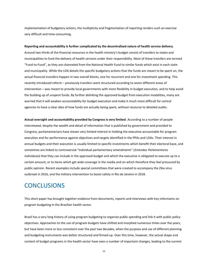implementation of budgetary actions, the multiplicity and fragmentation of reporting renders such an exercise very difficult and time-consuming.

**Reporting and accountability is further complicated by the decentralized nature of health service delivery**.

Around two thirds of the financial resources in the health ministry's budget consist of transfers to states and municipalities to fund the delivery of health services under their responsibility. Most of these transfers are termed "Fund-to-Fund", as they are channeled from the National Health Fund to similar funds which exist in each state and municipality. While the LOA details the specific budgetary actions that the funds are meant to be spent on, the actual financial transfers happen in two overall blocks, one for recurrent and one for investment spending. This recently introduced reform – previously transfers were structured according to seven different areas of intervention – was meant to provide local governments with more flexibility in budget execution, and to help avoid the building up of unspent funds. By further delinking the approved budget from execution modalities, many are worried that it will weaken accountability for budget execution and make it much more difficult for central agencies to have a clear idea of how funds are actually being spent, without recourse to detailed audits.

**Actual oversight and accountability provided by Congress is very limited**. According to a number of people interviewed, despite the wealth and detail of information that is published by government and provided to Congress, parliamentarians have shown very limited interest in holding the executive accountable for program execution and for performance against objectives and targets identified in the PPAs and LOAs. Their interest in annual budgets and their execution is usually limited to specific investments which benefit their electoral base, and sometimes are linked to controversial "individual parliamentary amendments" (*Emendas Parlamentares Individuais*) that they can include in the approved budget and which the executive is obligated to execute up to a certain amount, or to items which get wide coverage in the media and on which therefore they feel pressured by public opinion. Recent examples include special committees that were created to accompany the Zika virus outbreak in 2016, and the military intervention to boost safety in Rio de Janeiro in 2018.

## <span id="page-11-0"></span>**CONCLUSIONS**

This short paper has brought together evidence from documents, reports and interviews with key informants on program budgeting in the Brazilian health sector.

Brazil has a very long history of using program budgeting to organize public spending and link it with public policy objectives. Approaches to the use of program budgets have shifted and morphed numerous times over the years, but have been more or less consistent over the past two decades, when the purpose and use of different planning and budgeting instruments was better structured and firmed up. Over this time, however, the actual shape and content of budget programs in the health sector have seen a number of important changes, leading to the current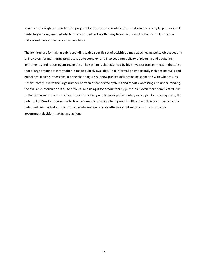structure of a single, comprehensive program for the sector as a whole, broken down into a very large number of budgetary actions, some of which are very broad and worth many billion Reais, while others entail just a few million and have a specific and narrow focus.

The architecture for linking public spending with a specific set of activities aimed at achieving policy objectives and of indicators for monitoring progress is quite complex, and involves a multiplicity of planning and budgeting instruments, and reporting arrangements. The system is characterized by high levels of transparency, in the sense that a large amount of information is made publicly available. That information importantly includes manuals and guidelines, making it possible, in principle, to figure out how public funds are being spent and with what results. Unfortunately, due to the large number of often disconnected systems and reports, accessing and understanding the available information is quite difficult. And using it for accountability purposes is even more complicated, due to the decentralized nature of health service delivery and to weak parliamentary oversight. As a consequence, the potential of Brazil's program budgeting systems and practices to improve health service delivery remains mostly untapped, and budget and performance information is rarely effectively utilized to inform and improve government decision-making and action.